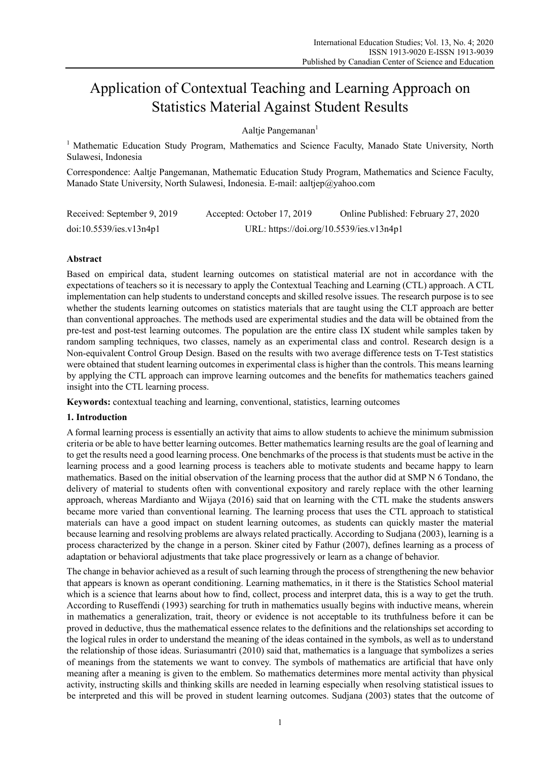# Application of Contextual Teaching and Learning Approach on Statistics Material Against Student Results

Aaltje Pangemanan<sup>1</sup>

<sup>1</sup> Mathematic Education Study Program, Mathematics and Science Faculty, Manado State University, North Sulawesi, Indonesia

Correspondence: Aaltie Pangemanan, Mathematic Education Study Program, Mathematics and Science Faculty, Manado State University, North Sulawesi, Indonesia. E-mail: aaltjep@yahoo.com

| Received: September 9, 2019 | Accepted: October 17, 2019               | Online Published: February 27, 2020 |  |
|-----------------------------|------------------------------------------|-------------------------------------|--|
| doi:10.5539/ies.v13n4p1     | URL: https://doi.org/10.5539/ies.v13n4p1 |                                     |  |

# **Abstract**

Based on empirical data, student learning outcomes on statistical material are not in accordance with the expectations of teachers so it is necessary to apply the Contextual Teaching and Learning (CTL) approach. A CTL implementation can help students to understand concepts and skilled resolve issues. The research purpose is to see whether the students learning outcomes on statistics materials that are taught using the CLT approach are better than conventional approaches. The methods used are experimental studies and the data will be obtained from the pre-test and post-test learning outcomes. The population are the entire class IX student while samples taken by random sampling techniques, two classes, namely as an experimental class and control. Research design is a Non-equivalent Control Group Design. Based on the results with two average difference tests on T-Test statistics were obtained that student learning outcomes in experimental class is higher than the controls. This means learning by applying the CTL approach can improve learning outcomes and the benefits for mathematics teachers gained insight into the CTL learning process.

**Keywords:** contextual teaching and learning, conventional, statistics, learning outcomes

## **1. Introduction**

A formal learning process is essentially an activity that aims to allow students to achieve the minimum submission criteria or be able to have better learning outcomes. Better mathematics learning results are the goal of learning and to get the results need a good learning process. One benchmarks of the process is that students must be active in the learning process and a good learning process is teachers able to motivate students and became happy to learn mathematics. Based on the initial observation of the learning process that the author did at SMP N 6 Tondano, the delivery of material to students often with conventional expository and rarely replace with the other learning approach, whereas Mardianto and Wijaya (2016) said that on learning with the CTL make the students answers became more varied than conventional learning. The learning process that uses the CTL approach to statistical materials can have a good impact on student learning outcomes, as students can quickly master the material because learning and resolving problems are always related practically. According to Sudjana (2003), learning is a process characterized by the change in a person. Skiner cited by Fathur (2007), defines learning as a process of adaptation or behavioral adjustments that take place progressively or learn as a change of behavior.

The change in behavior achieved as a result of such learning through the process of strengthening the new behavior that appears is known as operant conditioning. Learning mathematics, in it there is the Statistics School material which is a science that learns about how to find, collect, process and interpret data, this is a way to get the truth. According to Ruseffendi (1993) searching for truth in mathematics usually begins with inductive means, wherein in mathematics a generalization, trait, theory or evidence is not acceptable to its truthfulness before it can be proved in deductive, thus the mathematical essence relates to the definitions and the relationships set according to the logical rules in order to understand the meaning of the ideas contained in the symbols, as well as to understand the relationship of those ideas. Suriasumantri (2010) said that, mathematics is a language that symbolizes a series of meanings from the statements we want to convey. The symbols of mathematics are artificial that have only meaning after a meaning is given to the emblem. So mathematics determines more mental activity than physical activity, instructing skills and thinking skills are needed in learning especially when resolving statistical issues to be interpreted and this will be proved in student learning outcomes. Sudjana (2003) states that the outcome of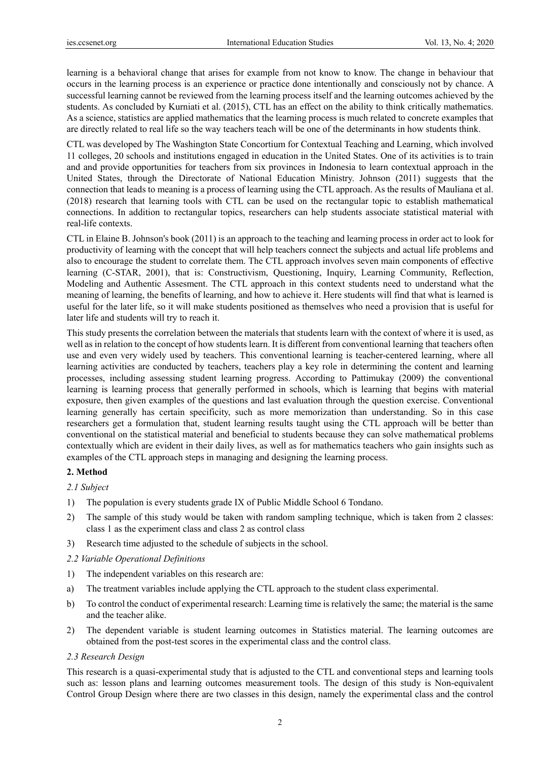learning is a behavioral change that arises for example from not know to know. The change in behaviour that occurs in the learning process is an experience or practice done intentionally and consciously not by chance. A successful learning cannot be reviewed from the learning process itself and the learning outcomes achieved by the students. As concluded by Kurniati et al. (2015), CTL has an effect on the ability to think critically mathematics. As a science, statistics are applied mathematics that the learning process is much related to concrete examples that are directly related to real life so the way teachers teach will be one of the determinants in how students think.

CTL was developed by The Washington State Concortium for Contextual Teaching and Learning, which involved 11 colleges, 20 schools and institutions engaged in education in the United States. One of its activities is to train and and provide opportunities for teachers from six provinces in Indonesia to learn contextual approach in the United States, through the Directorate of National Education Ministry. Johnson (2011) suggests that the connection that leads to meaning is a process of learning using the CTL approach. As the results of Mauliana et al. (2018) research that learning tools with CTL can be used on the rectangular topic to establish mathematical connections. In addition to rectangular topics, researchers can help students associate statistical material with real-life contexts.

CTL in Elaine B. Johnson's book (2011) is an approach to the teaching and learning process in order act to look for productivity of learning with the concept that will help teachers connect the subjects and actual life problems and also to encourage the student to correlate them. The CTL approach involves seven main components of effective learning (C-STAR, 2001), that is: Constructivism, Questioning, Inquiry, Learning Community, Reflection, Modeling and Authentic Assesment. The CTL approach in this context students need to understand what the meaning of learning, the benefits of learning, and how to achieve it. Here students will find that what is learned is useful for the later life, so it will make students positioned as themselves who need a provision that is useful for later life and students will try to reach it.

This study presents the correlation between the materials that students learn with the context of where it is used, as well as in relation to the concept of how students learn. It is different from conventional learning that teachers often use and even very widely used by teachers. This conventional learning is teacher-centered learning, where all learning activities are conducted by teachers, teachers play a key role in determining the content and learning processes, including assessing student learning progress. According to Pattimukay (2009) the conventional learning is learning process that generally performed in schools, which is learning that begins with material exposure, then given examples of the questions and last evaluation through the question exercise. Conventional learning generally has certain specificity, such as more memorization than understanding. So in this case researchers get a formulation that, student learning results taught using the CTL approach will be better than conventional on the statistical material and beneficial to students because they can solve mathematical problems contextually which are evident in their daily lives, as well as for mathematics teachers who gain insights such as examples of the CTL approach steps in managing and designing the learning process.

## **2. Method**

*2.1 Subject* 

- 1) The population is every students grade IX of Public Middle School 6 Tondano.
- 2) The sample of this study would be taken with random sampling technique, which is taken from 2 classes: class 1 as the experiment class and class 2 as control class
- 3) Research time adjusted to the schedule of subjects in the school.

## *2.2 Variable Operational Definitions*

- 1) The independent variables on this research are:
- a) The treatment variables include applying the CTL approach to the student class experimental.
- b) To control the conduct of experimental research: Learning time is relatively the same; the material is the same and the teacher alike.
- 2) The dependent variable is student learning outcomes in Statistics material. The learning outcomes are obtained from the post-test scores in the experimental class and the control class.

### *2.3 Research Design*

This research is a quasi-experimental study that is adjusted to the CTL and conventional steps and learning tools such as: lesson plans and learning outcomes measurement tools. The design of this study is Non-equivalent Control Group Design where there are two classes in this design, namely the experimental class and the control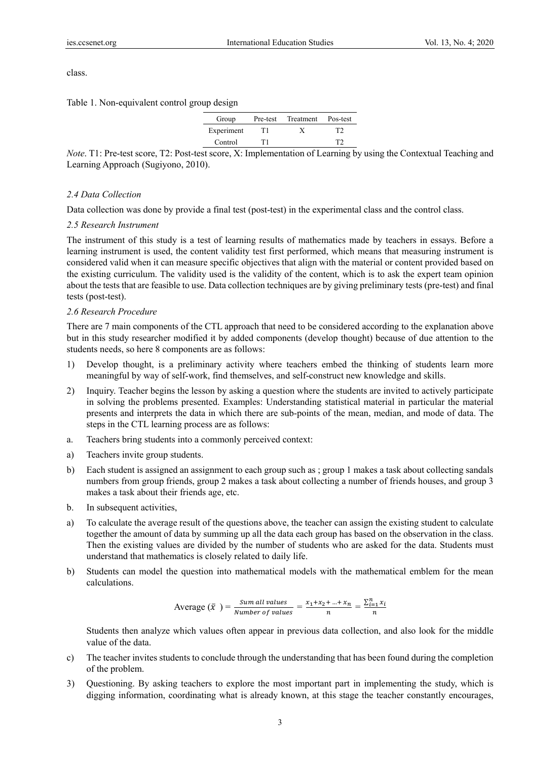class.

Table 1. Non-equivalent control group design

| Group      | Pre-test | Treatment | Pos-test |
|------------|----------|-----------|----------|
| Experiment | T1       | v         | TЭ       |
| Control    | T1       |           |          |

*Note*. T1: Pre-test score, T2: Post-test score, X: Implementation of Learning by using the Contextual Teaching and Learning Approach (Sugiyono, 2010).

#### *2.4 Data Collection*

Data collection was done by provide a final test (post-test) in the experimental class and the control class.

## *2.5 Research Instrument*

The instrument of this study is a test of learning results of mathematics made by teachers in essays. Before a learning instrument is used, the content validity test first performed, which means that measuring instrument is considered valid when it can measure specific objectives that align with the material or content provided based on the existing curriculum. The validity used is the validity of the content, which is to ask the expert team opinion about the tests that are feasible to use. Data collection techniques are by giving preliminary tests (pre-test) and final tests (post-test).

### *2.6 Research Procedure*

There are 7 main components of the CTL approach that need to be considered according to the explanation above but in this study researcher modified it by added components (develop thought) because of due attention to the students needs, so here 8 components are as follows:

- 1) Develop thought, is a preliminary activity where teachers embed the thinking of students learn more meaningful by way of self-work, find themselves, and self-construct new knowledge and skills.
- 2) Inquiry. Teacher begins the lesson by asking a question where the students are invited to actively participate in solving the problems presented. Examples: Understanding statistical material in particular the material presents and interprets the data in which there are sub-points of the mean, median, and mode of data. The steps in the CTL learning process are as follows:
- a. Teachers bring students into a commonly perceived context:
- a) Teachers invite group students.
- b) Each student is assigned an assignment to each group such as ; group 1 makes a task about collecting sandals numbers from group friends, group 2 makes a task about collecting a number of friends houses, and group 3 makes a task about their friends age, etc.
- b. In subsequent activities,
- a) To calculate the average result of the questions above, the teacher can assign the existing student to calculate together the amount of data by summing up all the data each group has based on the observation in the class. Then the existing values are divided by the number of students who are asked for the data. Students must understand that mathematics is closely related to daily life.
- b) Students can model the question into mathematical models with the mathematical emblem for the mean calculations.

Average 
$$
(\bar{x}) = \frac{Sum \ all \ values}{Number \ of \ values} = \frac{x_1 + x_2 + ... + x_n}{n} = \frac{\sum_{i=1}^{n} x_i}{n}
$$

Students then analyze which values often appear in previous data collection, and also look for the middle value of the data.

- c) The teacher invites students to conclude through the understanding that has been found during the completion of the problem.
- 3) Questioning. By asking teachers to explore the most important part in implementing the study, which is digging information, coordinating what is already known, at this stage the teacher constantly encourages,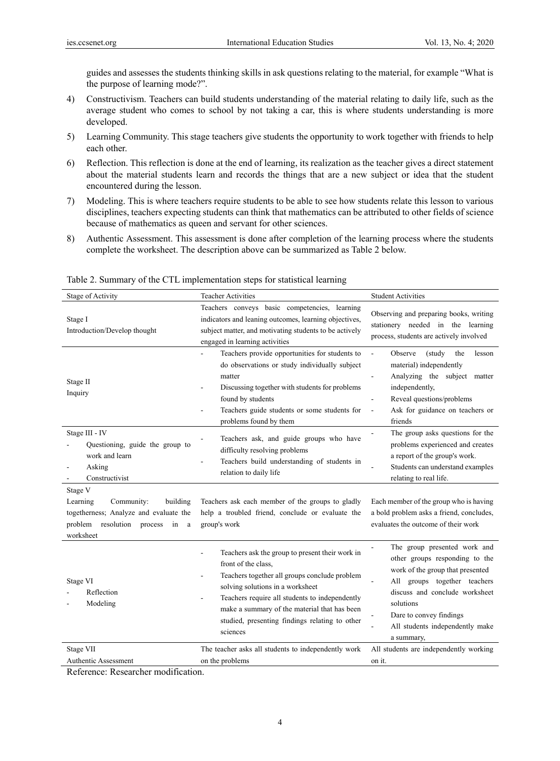guides and assesses the students thinking skills in ask questions relating to the material, for example "What is the purpose of learning mode?".

- 4) Constructivism. Teachers can build students understanding of the material relating to daily life, such as the average student who comes to school by not taking a car, this is where students understanding is more developed.
- 5) Learning Community. This stage teachers give students the opportunity to work together with friends to help each other.
- 6) Reflection. This reflection is done at the end of learning, its realization as the teacher gives a direct statement about the material students learn and records the things that are a new subject or idea that the student encountered during the lesson.
- 7) Modeling. This is where teachers require students to be able to see how students relate this lesson to various disciplines, teachers expecting students can think that mathematics can be attributed to other fields of science because of mathematics as queen and servant for other sciences.
- 8) Authentic Assessment. This assessment is done after completion of the learning process where the students complete the worksheet. The description above can be summarized as Table 2 below.

| Stage of Activity                                                                                                                                              | <b>Teacher Activities</b>                                                                                                                                                                                                                                                                                                   | <b>Student Activities</b>                                                                                                                                                                                                                                     |
|----------------------------------------------------------------------------------------------------------------------------------------------------------------|-----------------------------------------------------------------------------------------------------------------------------------------------------------------------------------------------------------------------------------------------------------------------------------------------------------------------------|---------------------------------------------------------------------------------------------------------------------------------------------------------------------------------------------------------------------------------------------------------------|
| Stage I<br>Introduction/Develop thought                                                                                                                        | Teachers conveys basic competencies, learning<br>indicators and leaning outcomes, learning objectives,<br>subject matter, and motivating students to be actively<br>engaged in learning activities                                                                                                                          | Observing and preparing books, writing<br>stationery needed in the learning<br>process, students are actively involved                                                                                                                                        |
| Stage II<br>Inquiry                                                                                                                                            | Teachers provide opportunities for students to<br>do observations or study individually subject<br>matter<br>Discussing together with students for problems<br>found by students<br>Teachers guide students or some students for<br>problems found by them                                                                  | Observe<br>(study<br>the<br>$\overline{a}$<br>lesson<br>material) independently<br>Analyzing the subject matter<br>independently,<br>Reveal questions/problems<br>Ask for guidance on teachers or<br>$\frac{1}{2}$<br>friends                                 |
| Stage III - IV<br>Questioning, guide the group to<br>work and learn<br>Asking<br>Constructivist                                                                | Teachers ask, and guide groups who have<br>difficulty resolving problems<br>Teachers build understanding of students in<br>relation to daily life                                                                                                                                                                           | The group asks questions for the<br>problems experienced and creates<br>a report of the group's work.<br>Students can understand examples<br>relating to real life.                                                                                           |
| Stage V<br>Community:<br>building<br>Learning<br>togetherness; Analyze and evaluate the<br>problem<br>resolution<br>process<br>in<br><sub>a</sub><br>worksheet | Teachers ask each member of the groups to gladly<br>help a troubled friend, conclude or evaluate the<br>group's work                                                                                                                                                                                                        | Each member of the group who is having<br>a bold problem asks a friend, concludes,<br>evaluates the outcome of their work                                                                                                                                     |
| Stage VI<br>Reflection<br>Modeling                                                                                                                             | Teachers ask the group to present their work in<br>front of the class.<br>Teachers together all groups conclude problem<br>solving solutions in a worksheet<br>Teachers require all students to independently<br>make a summary of the material that has been<br>studied, presenting findings relating to other<br>sciences | The group presented work and<br>other groups responding to the<br>work of the group that presented<br>All groups together teachers<br>discuss and conclude worksheet<br>solutions<br>Dare to convey findings<br>All students independently make<br>a summary, |
| Stage VII                                                                                                                                                      | The teacher asks all students to independently work                                                                                                                                                                                                                                                                         | All students are independently working                                                                                                                                                                                                                        |
| Authentic Assessment                                                                                                                                           | on the problems                                                                                                                                                                                                                                                                                                             | on it.                                                                                                                                                                                                                                                        |

Table 2. Summary of the CTL implementation steps for statistical learning

Reference: Researcher modification.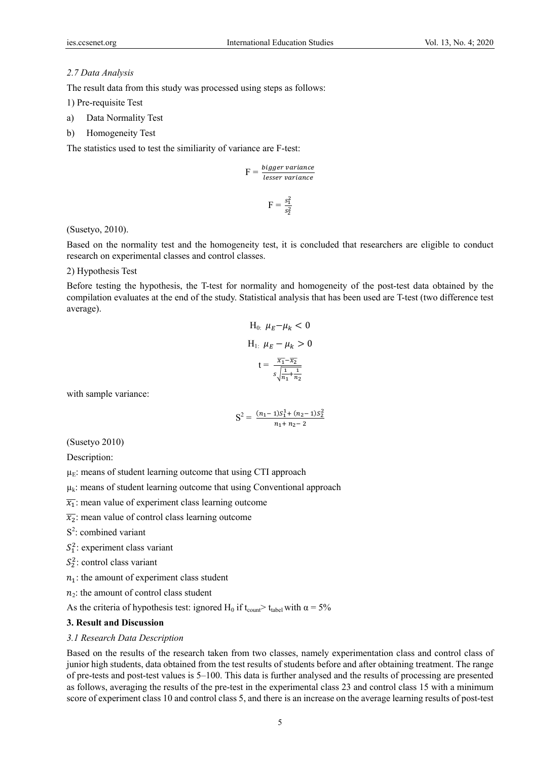### *2.7 Data Analysis*

The result data from this study was processed using steps as follows:

1) Pre-requisite Test

- a) Data Normality Test
- b) Homogeneity Test

The statistics used to test the similiarity of variance are F-test:

$$
F = \frac{bigger \ variance}{lesser \ variance}
$$

$$
F = \frac{s_1^2}{s_2^2}
$$

## (Susetyo, 2010).

Based on the normality test and the homogeneity test, it is concluded that researchers are eligible to conduct research on experimental classes and control classes.

## 2) Hypothesis Test

Before testing the hypothesis, the T-test for normality and homogeneity of the post-test data obtained by the compilation evaluates at the end of the study. Statistical analysis that has been used are T-test (two difference test average).

H<sub>0</sub>: 
$$
\mu_E - \mu_k < 0
$$
  
\nH<sub>1</sub>:  $\mu_E - \mu_k > 0$   
\n $t = \frac{\overline{x_1} - \overline{x_2}}{s \sqrt{\frac{1}{n_1} + \frac{1}{n_2}}}$ 

with sample variance:

$$
S^{2} = \frac{(n_{1}-1)S_{1}^{1} + (n_{2}-1)S_{2}^{2}}{n_{1}+n_{2}-2}
$$

(Susetyo 2010)

Description:

 $\mu_E$ : means of student learning outcome that using CTI approach

 $\mu_k$ : means of student learning outcome that using Conventional approach

 $\overline{x_1}$ : mean value of experiment class learning outcome

 $\overline{x_2}$ : mean value of control class learning outcome

 $S^2$ : combined variant

 $S_1^2$ : experiment class variant

 $S_2^2$ : control class variant

 $n_1$ : the amount of experiment class student

 $n_2$ : the amount of control class student

As the criteria of hypothesis test: ignored H<sub>0</sub> if t<sub>count</sub>> t<sub>tabel</sub> with  $\alpha = 5\%$ 

#### **3. Result and Discussion**

#### *3.1 Research Data Description*

Based on the results of the research taken from two classes, namely experimentation class and control class of junior high students, data obtained from the test results of students before and after obtaining treatment. The range of pre-tests and post-test values is 5–100. This data is further analysed and the results of processing are presented as follows, averaging the results of the pre-test in the experimental class 23 and control class 15 with a minimum score of experiment class 10 and control class 5, and there is an increase on the average learning results of post-test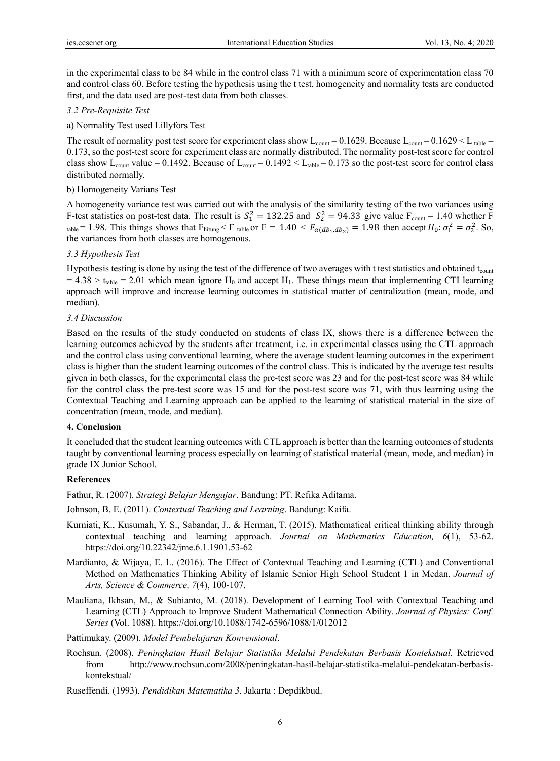in the experimental class to be 84 while in the control class 71 with a minimum score of experimentation class 70 and control class 60. Before testing the hypothesis using the t test, homogeneity and normality tests are conducted first, and the data used are post-test data from both classes.

## *3.2 Pre-Requisite Test*

a) Normality Test used Lillyfors Test

The result of normality post test score for experiment class show  $L_{\text{count}} = 0.1629$ . Because  $L_{\text{count}} = 0.1629 < L_{\text{table}} =$ 0.173, so the post-test score for experiment class are normally distributed. The normality post-test score for control class show L<sub>count</sub> value = 0.1492. Because of L<sub>count</sub> = 0.1492  $\lt$  L<sub>table</sub> = 0.173 so the post-test score for control class distributed normally.

### b) Homogeneity Varians Test

A homogeneity variance test was carried out with the analysis of the similarity testing of the two variances using F-test statistics on post-test data. The result is  $S_1^2 = 132.25$  and  $S_2^2 = 94.33$  give value  $F_{\text{count}} = 1.40$  whether F table = 1.98. This things shows that  $F_{\text{hitung}} < F_{\text{table}}$  or  $F = 1.40 < F_{\alpha(db_1, db_2)} = 1.98$  then accept  $H_0: \sigma_1^2 = \sigma_2^2$ . So, the variances from both classes are homogenous.

## *3.3 Hypothesis Test*

Hypothesis testing is done by using the test of the difference of two averages with t test statistics and obtained  $t_{\text{count}}$  $= 4.38 > t_{\text{table}} = 2.01$  which mean ignore H<sub>0</sub> and accept H<sub>1</sub>. These things mean that implementing CTI learning approach will improve and increase learning outcomes in statistical matter of centralization (mean, mode, and median).

## *3.4 Discussion*

Based on the results of the study conducted on students of class IX, shows there is a difference between the learning outcomes achieved by the students after treatment, i.e. in experimental classes using the CTL approach and the control class using conventional learning, where the average student learning outcomes in the experiment class is higher than the student learning outcomes of the control class. This is indicated by the average test results given in both classes, for the experimental class the pre-test score was 23 and for the post-test score was 84 while for the control class the pre-test score was 15 and for the post-test score was 71, with thus learning using the Contextual Teaching and Learning approach can be applied to the learning of statistical material in the size of concentration (mean, mode, and median).

## **4. Conclusion**

It concluded that the student learning outcomes with CTL approach is better than the learning outcomes of students taught by conventional learning process especially on learning of statistical material (mean, mode, and median) in grade IX Junior School.

#### **References**

Fathur, R. (2007). *Strategi Belajar Mengajar*. Bandung: PT. Refika Aditama.

- Johnson, B. E. (2011). *Contextual Teaching and Learning*. Bandung: Kaifa.
- Kurniati, K., Kusumah, Y. S., Sabandar, J., & Herman, T. (2015). Mathematical critical thinking ability through contextual teaching and learning approach. *Journal on Mathematics Education, 6*(1), 53-62. https://doi.org/10.22342/jme.6.1.1901.53-62
- Mardianto, & Wijaya, E. L. (2016). The Effect of Contextual Teaching and Learning (CTL) and Conventional Method on Mathematics Thinking Ability of Islamic Senior High School Student 1 in Medan. *Journal of Arts, Science & Commerce, 7*(4), 100-107.
- Mauliana, Ikhsan, M., & Subianto, M. (2018). Development of Learning Tool with Contextual Teaching and Learning (CTL) Approach to Improve Student Mathematical Connection Ability. *Journal of Physics: Conf. Series* (Vol. 1088). https://doi.org/10.1088/1742-6596/1088/1/012012
- Pattimukay. (2009). *Model Pembelajaran Konvensional*.
- Rochsun. (2008). *Peningkatan Hasil Belajar Statistika Melalui Pendekatan Berbasis Kontekstual*. Retrieved from http://www.rochsun.com/2008/peningkatan-hasil-belajar-statistika-melalui-pendekatan-berbasiskontekstual/
- Ruseffendi. (1993). *Pendidikan Matematika 3*. Jakarta : Depdikbud.